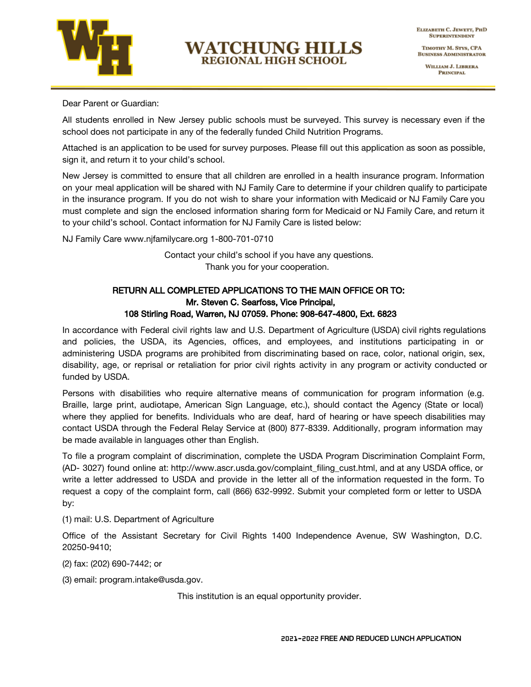

## **WATCHUNG HILLS** REGIONAL HIGH SCHOOL

TIMOTHY M. STYS, CPA **BUSINESS ADMINISTRATOR** 

> WILLIAM J. LIBRERA **PRINCIPAL**

Dear Parent or Guardian:

All students enrolled in New Jersey public schools must be surveyed. This survey is necessary even if the school does not participate in any of the federally funded Child Nutrition Programs.

Attached is an application to be used for survey purposes. Please fill out this application as soon as possible, sign it, and return it to your child's school.

New Jersey is committed to ensure that all children are enrolled in a health insurance program. Information on your meal application will be shared with NJ Family Care to determine if your children qualify to participate in the insurance program. If you do not wish to share your information with Medicaid or NJ Family Care you must complete and sign the enclosed information sharing form for Medicaid or NJ Family Care, and return it to your child's school. Contact information for NJ Family Care is listed below:

NJ Family Care www.njfamilycare.org 1-800-701-0710

Contact your child's school if you have any questions. Thank you for your cooperation.

## RETURN ALL COMPLETED APPLICATIONS TO THE MAIN OFFICE OR TO: Mr. Steven C. Searfoss, Vice Principal, 108 Stirling Road, Warren, NJ 07059. Phone: 908-647-4800, Ext. 6823

In accordance with Federal civil rights law and U.S. Department of Agriculture (USDA) civil rights regulations and policies, the USDA, its Agencies, offices, and employees, and institutions participating in or administering USDA programs are prohibited from discriminating based on race, color, national origin, sex, disability, age, or reprisal or retaliation for prior civil rights activity in any program or activity conducted or funded by USDA.

Persons with disabilities who require alternative means of communication for program information (e.g. Braille, large print, audiotape, American Sign Language, etc.), should contact the Agency (State or local) where they applied for benefits. Individuals who are deaf, hard of hearing or have speech disabilities may contact USDA through the Federal Relay Service at (800) 877-8339. Additionally, program information may be made available in languages other than English.

To file a program complaint of discrimination, complete the USDA Program Discrimination Complaint Form, (AD- 3027) found online at: http://www.ascr.usda.gov/complaint\_filing\_cust.html, and at any USDA office, or write a letter addressed to USDA and provide in the letter all of the information requested in the form. To request a copy of the complaint form, call (866) 632-9992. Submit your completed form or letter to USDA by:

(1) mail: U.S. Department of Agriculture

Office of the Assistant Secretary for Civil Rights 1400 Independence Avenue, SW Washington, D.C. 20250-9410;

(2) fax: (202) 690-7442; or

(3) email: program.intake@usda.gov.

This institution is an equal opportunity provider.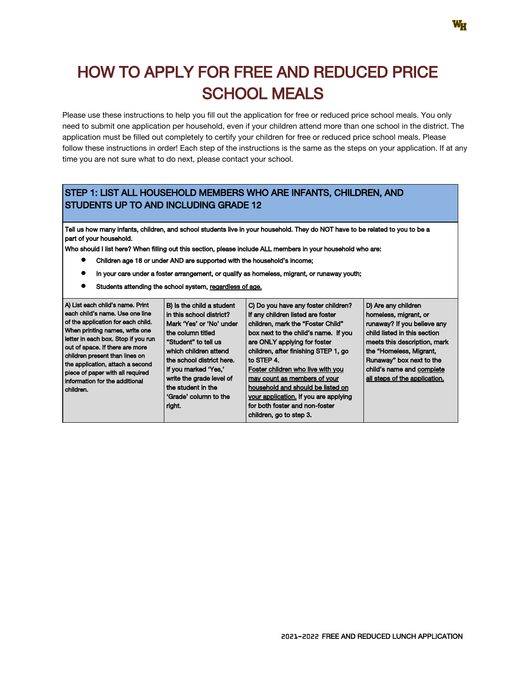# HOW TO APPLY FOR FREE AND REDUCED PRICE SCHOOL MEALS

Please use these instructions to help you fill out the application for free or reduced price school meals. You only need to submit one application per household, even if your children attend more than one school in the district. The application must be filled out completely to certify your children for free or reduced price school meals. Please follow these instructions in order! Each step of the instructions is the same as the steps on your application. If at any time you are not sure what to do next, please contact your school.

## STEP 1: LIST ALL HOUSEHOLD MEMBERS WHO ARE INFANTS, CHILDREN, AND STUDENTS UP TO AND INCLUDING GRADE 12

Tell us how many infants, children, and school students live in your household. They do NOT have to be related to you to be a part of your household.

Who should I list here? When filling out this section, please include ALL members in your household who are:

- Children age 18 or under AND are supported with the household's income;
- In your care under a foster arrangement, or qualify as homeless, migrant, or runaway youth;
- Students attending the school system, regardless of age.

| A) List each child's name. Print<br>each child's name. Use one line<br>of the application for each child.<br>When printing names, write one<br>letter in each box. Stop if you run<br>out of space. If there are more<br>children present than lines on<br>the application, attach a second<br>piece of paper with all required<br>information for the additional<br>children. | B) Is the child a student<br>in this school district?<br>Mark 'Yes' or 'No' under<br>the column titled<br>"Student" to tell us<br>which children attend<br>the school district here.<br>If you marked 'Yes,'<br>write the grade level of<br>the student in the<br>'Grade' column to the<br>right. | C) Do you have any foster children?<br>If any children listed are foster<br>children, mark the "Foster Child"<br>box next to the child's name. If you<br>are ONLY applying for foster<br>children, after finishing STEP 1, go<br>l to STEP 4.<br>Foster children who live with you<br>may count as members of your<br>household and should be listed on<br>your application. If you are applying<br>for both foster and non-foster<br>children, go to step 3. | D) Are any children<br>homeless, migrant, or<br>runaway? If you believe any<br>child listed in this section<br>meets this description, mark<br>the "Homeless, Migrant,<br>Runaway" box next to the<br>child's name and complete<br>all steps of the application. |
|--------------------------------------------------------------------------------------------------------------------------------------------------------------------------------------------------------------------------------------------------------------------------------------------------------------------------------------------------------------------------------|---------------------------------------------------------------------------------------------------------------------------------------------------------------------------------------------------------------------------------------------------------------------------------------------------|---------------------------------------------------------------------------------------------------------------------------------------------------------------------------------------------------------------------------------------------------------------------------------------------------------------------------------------------------------------------------------------------------------------------------------------------------------------|------------------------------------------------------------------------------------------------------------------------------------------------------------------------------------------------------------------------------------------------------------------|
|--------------------------------------------------------------------------------------------------------------------------------------------------------------------------------------------------------------------------------------------------------------------------------------------------------------------------------------------------------------------------------|---------------------------------------------------------------------------------------------------------------------------------------------------------------------------------------------------------------------------------------------------------------------------------------------------|---------------------------------------------------------------------------------------------------------------------------------------------------------------------------------------------------------------------------------------------------------------------------------------------------------------------------------------------------------------------------------------------------------------------------------------------------------------|------------------------------------------------------------------------------------------------------------------------------------------------------------------------------------------------------------------------------------------------------------------|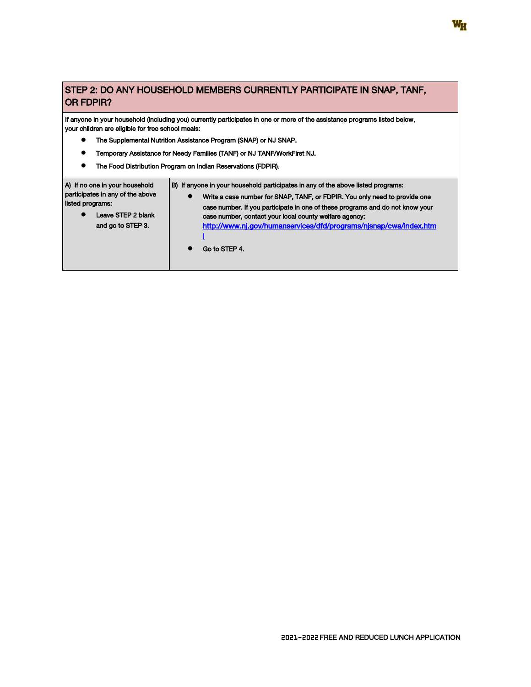## STEP 2: DO ANY HOUSEHOLD MEMBERS CURRENTLY PARTICIPATE IN SNAP, TANF, OR FDPIR?

If anyone in your household (including you) currently participates in one or more of the assistance programs listed below, your children are eligible for free school meals:

- The Supplemental Nutrition Assistance Program (SNAP) or NJ SNAP.
- Temporary Assistance for Needy Families (TANF) or NJ TANF/WorkFirst NJ.
- The Food Distribution Program on Indian Reservations (FDPIR).

| B) If anyone in your household participates in any of the above listed programs:<br>Write a case number for SNAP, TANF, or FDPIR. You only need to provide one<br>$\bullet$<br>case number. If you participate in one of these programs and do not know your<br>Leave STEP 2 blank<br>case number, contact your local county welfare agency:<br>http://www.nj.gov/humanservices/dfd/programs/njsnap/cwa/index.htm<br>and go to STEP 3.<br>Go to STEP 4. |                                                                                        |  |
|---------------------------------------------------------------------------------------------------------------------------------------------------------------------------------------------------------------------------------------------------------------------------------------------------------------------------------------------------------------------------------------------------------------------------------------------------------|----------------------------------------------------------------------------------------|--|
|                                                                                                                                                                                                                                                                                                                                                                                                                                                         | A) If no one in your household<br>participates in any of the above<br>listed programs: |  |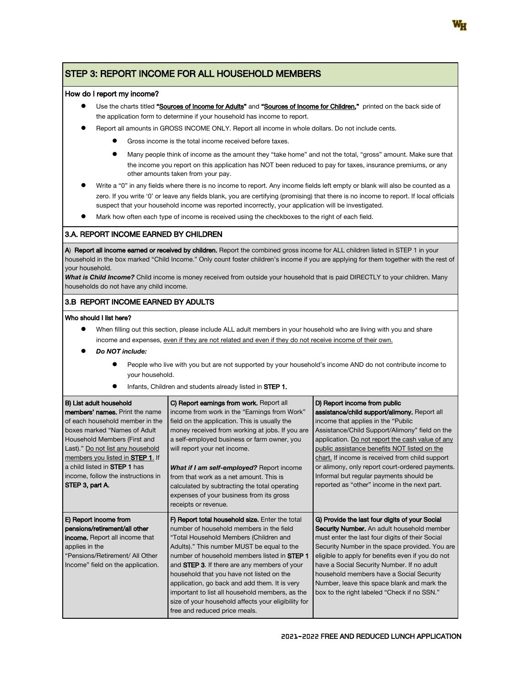## STEP 3: REPORT INCOME FOR ALL HOUSEHOLD MEMBERS

#### How do I report my income?

- Use the charts titled "Sources of Income for Adults" and "Sources of Income for Children," printed on the back side of the application form to determine if your household has income to report.
- Report all amounts in GROSS INCOME ONLY. Report all income in whole dollars. Do not include cents.
	- Gross income is the total income received before taxes.
	- Many people think of income as the amount they "take home" and not the total, "gross" amount. Make sure that the income you report on this application has NOT been reduced to pay for taxes, insurance premiums, or any other amounts taken from your pay.
- Write a "0" in any fields where there is no income to report. Any income fields left empty or blank will also be counted as a zero. If you write '0' or leave any fields blank, you are certifying (promising) that there is no income to report. If local officials suspect that your household income was reported incorrectly, your application will be investigated.
- Mark how often each type of income is received using the checkboxes to the right of each field.

#### 3.A. REPORT INCOME EARNED BY CHILDREN

A) Report all income earned or received by children. Report the combined gross income for ALL children listed in STEP 1 in your household in the box marked "Child Income." Only count foster children's income if you are applying for them together with the rest of your household.

What is Child Income? Child income is money received from outside your household that is paid DIRECTLY to your children. Many households do not have any child income.

#### 3.B REPORT INCOME EARNED BY ADULTS

#### Who should I list here?

- When filling out this section, please include ALL adult members in your household who are living with you and share income and expenses, even if they are not related and even if they do not receive income of their own.
- Do NOT include:
	- People who live with you but are not supported by your household's income AND do not contribute income to your household.
	- Infants, Children and students already listed in STEP 1.

| <b>B</b> ) List adult household<br>members' names. Print the name<br>of each household member in the<br>boxes marked "Names of Adult<br>Household Members (First and<br>Last)." Do not list any household<br>members you listed in <b>STEP 1</b> . If<br>l a child listed in <b>STEP 1</b> has<br>income, follow the instructions in<br>STEP 3, part A. | C) Report earnings from work. Report all<br>income from work in the "Earnings from Work"<br>field on the application. This is usually the<br>money received from working at jobs. If you are<br>a self-employed business or farm owner, you<br>will report your net income.<br>What if I am self-employed? Report income<br>from that work as a net amount. This is<br>calculated by subtracting the total operating<br>expenses of your business from its gross<br>receipts or revenue.                                                   | D) Report income from public<br>assistance/child support/alimony. Report all<br>income that applies in the "Public"<br>Assistance/Child Support/Alimony" field on the<br>application. Do not report the cash value of any<br>public assistance benefits NOT listed on the<br>chart. If income is received from child support<br>or alimony, only report court-ordered payments.<br>Informal but regular payments should be<br>reported as "other" income in the next part. |
|---------------------------------------------------------------------------------------------------------------------------------------------------------------------------------------------------------------------------------------------------------------------------------------------------------------------------------------------------------|--------------------------------------------------------------------------------------------------------------------------------------------------------------------------------------------------------------------------------------------------------------------------------------------------------------------------------------------------------------------------------------------------------------------------------------------------------------------------------------------------------------------------------------------|----------------------------------------------------------------------------------------------------------------------------------------------------------------------------------------------------------------------------------------------------------------------------------------------------------------------------------------------------------------------------------------------------------------------------------------------------------------------------|
| E) Report income from<br>pensions/retirement/all other<br><b>income.</b> Report all income that<br>applies in the<br>"Pensions/Retirement/ All Other<br>Income" field on the application.                                                                                                                                                               | F) Report total household size. Enter the total<br>number of household members in the field<br>"Total Household Members (Children and<br>Adults)." This number MUST be equal to the<br>number of household members listed in <b>STEP 1</b><br>and <b>STEP 3.</b> If there are any members of your<br>household that you have not listed on the<br>application, go back and add them. It is very<br>important to list all household members, as the<br>size of your household affects your eligibility for<br>free and reduced price meals. | G) Provide the last four digits of your Social<br>Security Number. An adult household member<br>must enter the last four digits of their Social<br>Security Number in the space provided. You are<br>eligible to apply for benefits even if you do not<br>have a Social Security Number. If no adult<br>household members have a Social Security<br>Number, leave this space blank and mark the<br>box to the right labeled "Check if no SSN."                             |

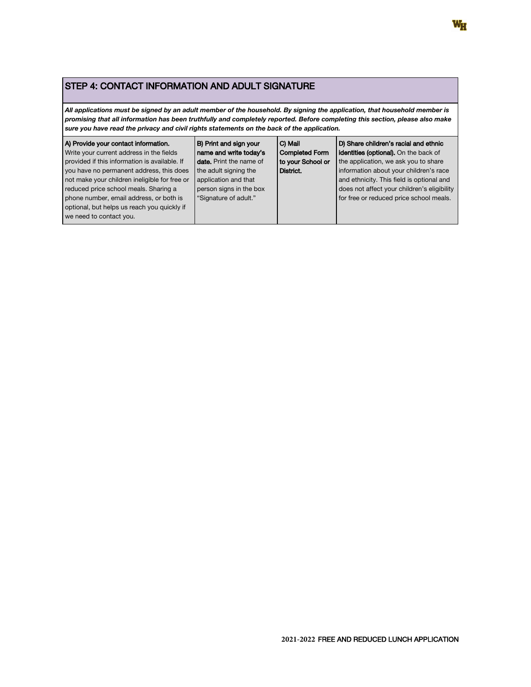## STEP 4: CONTACT INFORMATION AND ADULT SIGNATURE

All applications must be signed by an adult member of the household. By signing the application, that household member is promising that all information has been truthfully and completely reported. Before completing this section, please also make sure you have read the privacy and civil rights statements on the back of the application.

| A) Provide your contact information.                                                                                                                                                                                                                    | B) Print and sign your                                                                            | C) Mail           | D) Share children's racial and ethnic                                                                                                                                         |
|---------------------------------------------------------------------------------------------------------------------------------------------------------------------------------------------------------------------------------------------------------|---------------------------------------------------------------------------------------------------|-------------------|-------------------------------------------------------------------------------------------------------------------------------------------------------------------------------|
| Write your current address in the fields                                                                                                                                                                                                                | name and write today's                                                                            | Completed Form    | <b>identities (optional).</b> On the back of                                                                                                                                  |
| provided if this information is available. If                                                                                                                                                                                                           | <b>date.</b> Print the name of                                                                    | to your School or | the application, we ask you to share                                                                                                                                          |
| you have no permanent address, this does<br>not make your children ineligible for free or<br>reduced price school meals. Sharing a<br>phone number, email address, or both is<br>optional, but helps us reach you quickly if<br>we need to contact you. | the adult signing the<br>application and that<br>person signs in the box<br>"Signature of adult." | District.         | information about your children's race<br>and ethnicity. This field is optional and<br>does not affect your children's eligibility<br>for free or reduced price school meals. |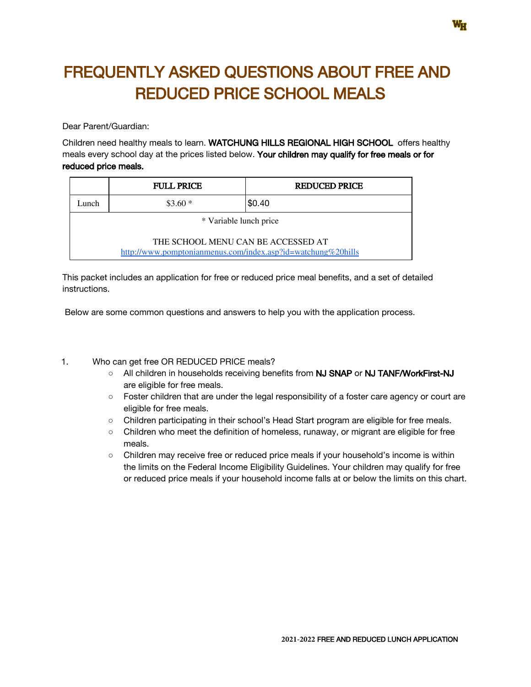# FREQUENTLY ASKED QUESTIONS ABOUT FREE AND REDUCED PRICE SCHOOL MEALS

Dear Parent/Guardian:

Children need healthy meals to learn. WATCHUNG HILLS REGIONAL HIGH SCHOOL offers healthy meals every school day at the prices listed below. Your children may qualify for free meals or for reduced price meals.

|                                                                                                    | <b>FULL PRICE</b> | <b>REDUCED PRICE</b> |
|----------------------------------------------------------------------------------------------------|-------------------|----------------------|
| Lunch                                                                                              | $$3.60*$          | \$0.40               |
| * Variable lunch price                                                                             |                   |                      |
| THE SCHOOL MENU CAN BE ACCESSED AT<br>http://www.pomptonianmenus.com/index.asp?id=watchung%20hills |                   |                      |

This packet includes an application for free or reduced price meal benefits, and a set of detailed instructions.

Below are some common questions and answers to help you with the application process.

### 1. Who can get free OR REDUCED PRICE meals?

- All children in households receiving benefits from NJ SNAP or NJ TANF/WorkFirst-NJ are eligible for free meals.
- Foster children that are under the legal responsibility of a foster care agency or court are eligible for free meals.
- Children participating in their school's Head Start program are eligible for free meals.
- Children who meet the definition of homeless, runaway, or migrant are eligible for free meals.
- Children may receive free or reduced price meals if your household's income is within the limits on the Federal Income Eligibility Guidelines. Your children may qualify for free or reduced price meals if your household income falls at or below the limits on this chart.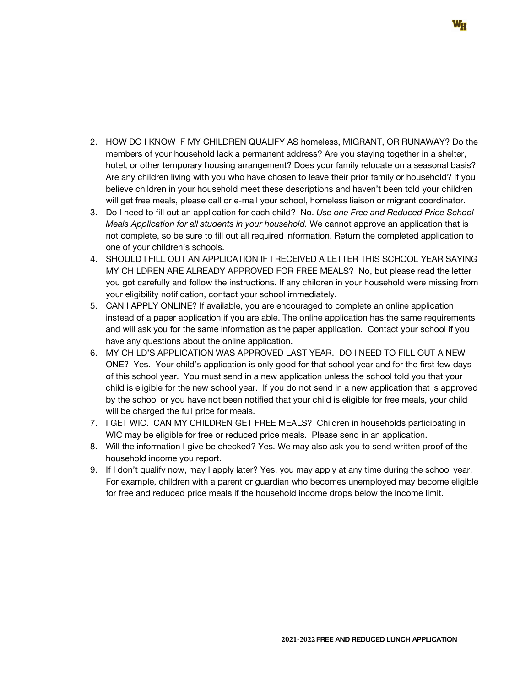- 2. HOW DO I KNOW IF MY CHILDREN QUALIFY AS homeless, MIGRANT, OR RUNAWAY? Do the members of your household lack a permanent address? Are you staying together in a shelter, hotel, or other temporary housing arrangement? Does your family relocate on a seasonal basis? Are any children living with you who have chosen to leave their prior family or household? If you believe children in your household meet these descriptions and haven't been told your children will get free meals, please call or e-mail your school, homeless liaison or migrant coordinator.
- 3. Do I need to fill out an application for each child? No. Use one Free and Reduced Price School Meals Application for all students in your household. We cannot approve an application that is not complete, so be sure to fill out all required information. Return the completed application to one of your children's schools.
- 4. SHOULD I FILL OUT AN APPLICATION IF I RECEIVED A LETTER THIS SCHOOL YEAR SAYING MY CHILDREN ARE ALREADY APPROVED FOR FREE MEALS? No, but please read the letter you got carefully and follow the instructions. If any children in your household were missing from your eligibility notification, contact your school immediately.
- 5. CAN I APPLY ONLINE? If available, you are encouraged to complete an online application instead of a paper application if you are able. The online application has the same requirements and will ask you for the same information as the paper application. Contact your school if you have any questions about the online application.
- 6. MY CHILD'S APPLICATION WAS APPROVED LAST YEAR. DO I NEED TO FILL OUT A NEW ONE? Yes. Your child's application is only good for that school year and for the first few days of this school year. You must send in a new application unless the school told you that your child is eligible for the new school year. If you do not send in a new application that is approved by the school or you have not been notified that your child is eligible for free meals, your child will be charged the full price for meals.
- 7. I GET WIC. CAN MY CHILDREN GET FREE MEALS? Children in households participating in WIC may be eligible for free or reduced price meals. Please send in an application.
- 8. Will the information I give be checked? Yes. We may also ask you to send written proof of the household income you report.
- 9. If I don't qualify now, may I apply later? Yes, you may apply at any time during the school year. For example, children with a parent or guardian who becomes unemployed may become eligible for free and reduced price meals if the household income drops below the income limit.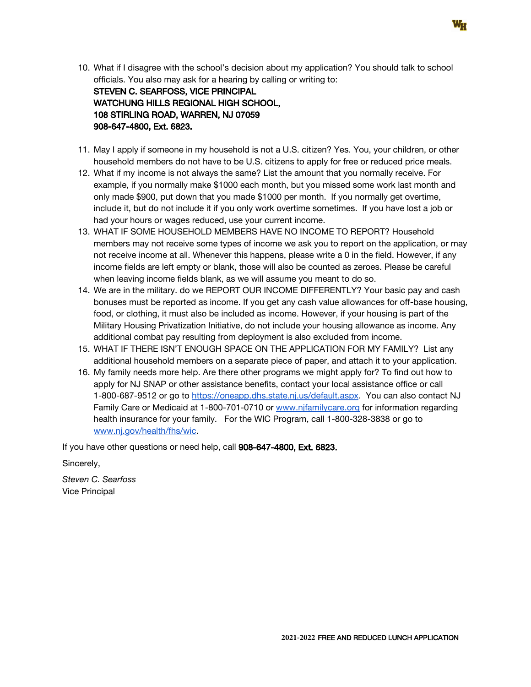10. What if I disagree with the school's decision about my application? You should talk to school officials. You also may ask for a hearing by calling or writing to:

STEVEN C. SEARFOSS, VICE PRINCIPAL WATCHUNG HILLS REGIONAL HIGH SCHOOL, 108 STIRLING ROAD, WARREN, NJ 07059 908-647-4800, Ext. 6823.

- 11. May I apply if someone in my household is not a U.S. citizen? Yes. You, your children, or other household members do not have to be U.S. citizens to apply for free or reduced price meals.
- 12. What if my income is not always the same? List the amount that you normally receive. For example, if you normally make \$1000 each month, but you missed some work last month and only made \$900, put down that you made \$1000 per month. If you normally get overtime, include it, but do not include it if you only work overtime sometimes. If you have lost a job or had your hours or wages reduced, use your current income.
- 13. WHAT IF SOME HOUSEHOLD MEMBERS HAVE NO INCOME TO REPORT? Household members may not receive some types of income we ask you to report on the application, or may not receive income at all. Whenever this happens, please write a 0 in the field. However, if any income fields are left empty or blank, those will also be counted as zeroes. Please be careful when leaving income fields blank, as we will assume you meant to do so.
- 14. We are in the military. do we REPORT OUR INCOME DIFFERENTLY? Your basic pay and cash bonuses must be reported as income. If you get any cash value allowances for off-base housing, food, or clothing, it must also be included as income. However, if your housing is part of the Military Housing Privatization Initiative, do not include your housing allowance as income. Any additional combat pay resulting from deployment is also excluded from income.
- 15. WHAT IF THERE ISN'T ENOUGH SPACE ON THE APPLICATION FOR MY FAMILY? List any additional household members on a separate piece of paper, and attach it to your application.
- 16. My family needs more help. Are there other programs we might apply for? To find out how to apply for NJ SNAP or other assistance benefits, contact your local assistance office or call 1-800-687-9512 or go to [https://oneapp.dhs.state.nj.us/default.aspx.](https://oneapp.dhs.state.nj.us/default.aspx) You can also contact NJ Family Care or Medicaid at 1-800-701-0710 or [www.njfamilycare.org](http://www.njfamilycare.org/) for information regarding health insurance for your family. For the WIC Program, call 1-800-328-3838 or go to [www.nj.gov/health/fhs/wic](http://www.nj.gov/health/fhs/wic).

If you have other questions or need help, call 908-647-4800, Ext. 6823.

Sincerely,

Steven C. Searfoss Vice Principal

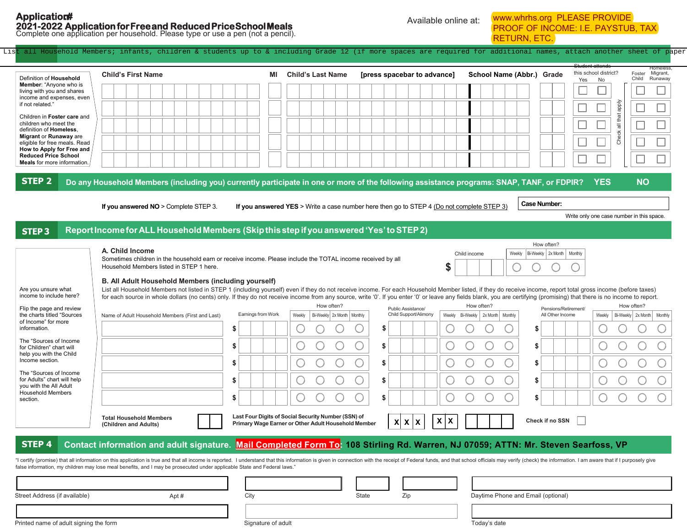# **PROVIDE PAYSTUB, TAX**

| <b>Application#</b>                                                                                                                                                                                                                                                                                                                                                                                      | 2021-2022 Application for Free and Reduced Price School Meals<br>Complete one application per household. Please type or use a pen (not a pencil).                                                                                                                                                                                                                                                                                                                                                                                                                                                                                                                                                                                    |                                                                                                            | Available online at:                              | www.whrhs.org PLEASE PROVIDE<br><b>PROOF OF INCOME: I.E. PAYSTUB, TAX</b><br><b>RETURN, ETC.</b>                                                      |                                                                                                                       |
|----------------------------------------------------------------------------------------------------------------------------------------------------------------------------------------------------------------------------------------------------------------------------------------------------------------------------------------------------------------------------------------------------------|--------------------------------------------------------------------------------------------------------------------------------------------------------------------------------------------------------------------------------------------------------------------------------------------------------------------------------------------------------------------------------------------------------------------------------------------------------------------------------------------------------------------------------------------------------------------------------------------------------------------------------------------------------------------------------------------------------------------------------------|------------------------------------------------------------------------------------------------------------|---------------------------------------------------|-------------------------------------------------------------------------------------------------------------------------------------------------------|-----------------------------------------------------------------------------------------------------------------------|
| List                                                                                                                                                                                                                                                                                                                                                                                                     | all Household Members; infants, children & students up to & including Grade 12 (if more spaces are required for additional names, attach another sheet of paper                                                                                                                                                                                                                                                                                                                                                                                                                                                                                                                                                                      |                                                                                                            |                                                   |                                                                                                                                                       |                                                                                                                       |
| Definition of Household<br><b>Member:</b> "Anyone who is<br>living with you and shares<br>income and expenses, even<br>if not related."<br>Children in Foster care and<br>children who meet the<br>definition of Homeless.<br>Migrant or Runaway are<br>eligible for free meals. Read<br>How to Apply for Free and<br><b>Reduced Price School</b><br><b>Meals</b> for more information.<br><b>STEP 2</b> | <b>Child's First Name</b><br>Do any Household Members (including you) currently participate in one or more of the following assistance programs: SNAP, TANF, or FDPIR?                                                                                                                                                                                                                                                                                                                                                                                                                                                                                                                                                               | <b>Child's Last Name</b><br>ΜI                                                                             | [press spacebar to advance]                       | this school district?<br>School Name (Abbr.) Grade<br>Yes                                                                                             | Homeless<br>Foster Migrant,<br>Runaway<br>Child<br><b>No</b><br>Aldde<br>all that<br>Check<br><b>YES</b><br><b>NO</b> |
| <b>STEP3</b>                                                                                                                                                                                                                                                                                                                                                                                             | If you answered $NO >$ Complete STEP 3.<br>Report Income for ALL Household Members (Skip this step if you answered 'Yes' to STEP 2)                                                                                                                                                                                                                                                                                                                                                                                                                                                                                                                                                                                                  | If you answered YES > Write a case number here then go to STEP 4 (Do not complete STEP 3)                  |                                                   | <b>Case Number:</b><br>How often?                                                                                                                     | Write only one case number in this space.                                                                             |
| Are you unsure what<br>income to include here?<br>Flip the page and review<br>the charts titled "Sources                                                                                                                                                                                                                                                                                                 | A. Child Income<br>Sometimes children in the household earn or receive income. Please include the TOTAL income received by all<br>Household Members listed in STEP 1 here.<br>B. All Adult Household Members (including yourself)<br>List all Household Members not listed in STEP 1 (including yourself) even if they do not receive income. For each Household Member listed, if they do receive income, report total gross income (before taxes)<br>for each source in whole dollars (no cents) only. If they do not receive income from any source, write '0'. If you enter '0' or leave any fields blank, you are certifying (promising) that there is no income to report.<br>Name of Adult Household Members (First and Last) | How often?<br>Earnings from Work<br>Bi-Weekly 2x Month Monthly<br>Weekly                                   | \$<br>Public Assistance/<br>Child Support/Alimony | Bi-Weekly 2x Month   Monthly<br>Weekly<br>Child income<br>How often?<br>Pensions/Retirement/<br>All Other Income<br>Weekly Bi-Weekly 2x Month Monthly | How often?<br>Bi-Weekly 2x Month Monthly<br>Weekly                                                                    |
| of Income" for more<br>information.<br>The "Sources of Income<br>for Children" chart will<br>help you with the Child<br>Income section.<br>The "Sources of Income<br>for Adults" chart will help<br>you with the All Adult<br><b>Household Members</b><br>section.                                                                                                                                       |                                                                                                                                                                                                                                                                                                                                                                                                                                                                                                                                                                                                                                                                                                                                      | $\overline{\phantom{a}}$<br>$\smile\smile$                                                                 | S<br>S                                            | \$<br>\$<br>\$<br>\$<br>\$<br>$\smile\smile\smile$                                                                                                    | $\overline{\phantom{a}}$                                                                                              |
|                                                                                                                                                                                                                                                                                                                                                                                                          | <b>Total Household Members</b><br>(Children and Adults)                                                                                                                                                                                                                                                                                                                                                                                                                                                                                                                                                                                                                                                                              | Last Four Digits of Social Security Number (SSN) of<br>Primary Wage Earner or Other Adult Household Member | $\mathsf{x}$<br>ΙX<br>X X X                       | Check if no SSN                                                                                                                                       |                                                                                                                       |
| <b>STEP 4</b>                                                                                                                                                                                                                                                                                                                                                                                            |                                                                                                                                                                                                                                                                                                                                                                                                                                                                                                                                                                                                                                                                                                                                      |                                                                                                            |                                                   | Contact information and adult signature. Mail Completed Form To: 108 Stirling Rd. Warren, NJ 07059; ATTN: Mr. Steven Searfoss, VP                     |                                                                                                                       |

Printed name of adult signing the form **Signature of adult** Signature of adult Today's date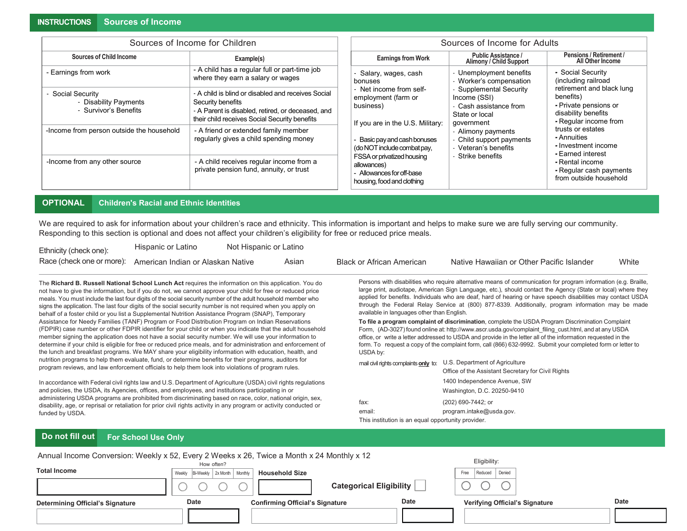|                                                                     | Sources of Income for Children                                                                                                                                                |                                                                                                     | Sources of Income for Adults                                                                                                                                                |                                                                                                                 |
|---------------------------------------------------------------------|-------------------------------------------------------------------------------------------------------------------------------------------------------------------------------|-----------------------------------------------------------------------------------------------------|-----------------------------------------------------------------------------------------------------------------------------------------------------------------------------|-----------------------------------------------------------------------------------------------------------------|
| Sources of Child Income                                             | Example(s)                                                                                                                                                                    | <b>Earnings from Work</b>                                                                           | <b>Public Assistance /</b><br><b>Alimony / Child Support</b>                                                                                                                | Pensions / Retirement /<br>All Other Income                                                                     |
| - Earnings from work                                                | - A child has a regular full or part-time job<br>where they earn a salary or wages                                                                                            | - Salary, wages, cash<br>bonuses                                                                    | - Unemployment benefits<br>- Worker's compensation                                                                                                                          | - Social Security<br>(including railroad                                                                        |
| - Social Security<br>- Disability Payments<br>- Survivor's Benefits | - A child is blind or disabled and receives Social<br>Security benefits<br>- A Parent is disabled, retired, or deceased, and<br>their child receives Social Security benefits | - Net income from self-<br>employment (farm or<br>business)<br>If you are in the U.S. Military:     | - Supplemental Security<br>Income (SSI)<br>- Cash assistance from<br>State or local<br>government<br>- Alimony payments<br>- Child support payments<br>- Veteran's benefits | retirement and black lung<br>benefits)<br>- Private pensions or<br>disability benefits<br>- Regular income from |
| -Income from person outside the household                           | - A friend or extended family member<br>regularly gives a child spending money                                                                                                | - Basic pay and cash bonuses<br>(do NOT include combat pay,                                         |                                                                                                                                                                             | trusts or estates<br>- Annuities<br>- Investment income<br>- Earned interest                                    |
| -Income from any other source                                       | - A child receives regular income from a<br>private pension fund, annuity, or trust                                                                                           | FSSA or privatized housing<br>allowances)<br>- Allowances for off-base<br>housing, food and dothing | - Strike benefits                                                                                                                                                           | - Rental income<br>- Regular cash payments<br>from outside household                                            |

#### **OPTIONAL Children's Racial and Ethnic Identities**

We are required to ask for information about your children's race and ethnicity. This information is important and helps to make sure we are fully serving our community. Responding to this section is optional and does not affect your children's eligibility for free or reduced price meals.

| Ethnicity (check one):    | Hispanic or Latino                | Not Hispanic or Latino |         |                           |                                           |       |
|---------------------------|-----------------------------------|------------------------|---------|---------------------------|-------------------------------------------|-------|
| Race (check one or more): | American Indian or Alaskan Native |                        | Asian I | Black or African American | Native Hawaiian or Other Pacific Islander | White |

The **Richard B. Russell National School Lunch Act** requires the information on this application. You do not have to give the information, but if you do not, we cannot approve your child for free or reduced price meals. You must include the last four digits of the social security number of the adult household member who signs the application. The last four digits of the social security number is not required when you apply on behalf of a foster child or you list a Supplemental Nutrition Assistance Program (SNAP), Temporary Assistance for Needy Families (TANF) Program or Food Distribution Program on Indian Reservations (FDPIR) case number or other FDPIR identifier for your child or when you indicate that the adult household member signing the application does not have a social security number. We will use your information to determine if your child is eligible for free or reduced price meals, and for administration and enforcement of the lunch and breakfast programs. We MAY share your eligibility information with education, health, and nutrition programs to help them evaluate, fund, or determine benefits for their programs, auditors for program reviews, and law enforcement officials to help them look into violations of program rules.

In accordance with Federal civil rights law and U.S. Department of Agriculture (USDA) civil rights regulations and policies, the USDA, its Agencies, offices, and employees, and institutions participating in or administering USDA programs are prohibited from discriminating based on race, color, national origin, sex, disability, age, or reprisal or retaliation for prior civil rights activity in any program or activity conducted or funded by USDA.

Persons with disabilities who require alternative means of communication for program information (e.g. Braille, large print, audiotape, American Sign Language, etc.), should contact the Agency (State or local) where they applied for benefits. Individuals who are deaf, hard of hearing or have speech disabilities may contact USDA through the Federal Relay Service at (800) 877-8339. Additionally, program information may be made available in languages other than English.

**To file a program complaint of discrimination**, complete the USDA Program Discrimination Complaint Form, (AD-3027) found online at[: http://www.ascr.usda.gov/complaint\\_filing\\_cust.html, a](http://www.ascr.usda.gov/complaint_%EF%AC%81ling_cust.html)nd at any USDA office, or write a letter addressed to USDA and provide in the letter all of the information requested in the form. To request a copy of the complaint form, call (866) 632-9992. Submit your completed form or letter to USDA by:

mail civil rights complaints **only** to: U.S. Department of Agriculture Office of the Assistant Secretary for Civil Rights 1400 Independence Avenue, SW Washington, D.C. 20250-9410 fax: (202) 690-7442; or email: [program.intake@usda.gov.](mailto:program.intake@usda.gov) This institution is an equal opportunity provider.

#### **Do not fill out For School Use Only**

| Annual Income Conversion: Weekly x 52, Every 2 Weeks x 26, Twice a Month x 24 Monthly x 12 |                                                  |                                        |      |                                       |      |  |  |
|--------------------------------------------------------------------------------------------|--------------------------------------------------|----------------------------------------|------|---------------------------------------|------|--|--|
|                                                                                            | How often?                                       |                                        |      | Eligibility:                          |      |  |  |
| <b>Total Income</b>                                                                        | 2x Month   Monthly<br><b>Bi-Weekly</b><br>Weekly | <b>Household Size</b>                  |      | Denied<br>Reduced<br>Free             |      |  |  |
|                                                                                            |                                                  | <b>Categorical Eligibility</b>         |      |                                       |      |  |  |
| <b>Determining Official's Signature</b>                                                    | Date                                             | <b>Confirming Official's Signature</b> | Date | <b>Verifying Official's Signature</b> | Date |  |  |
|                                                                                            |                                                  |                                        |      |                                       |      |  |  |